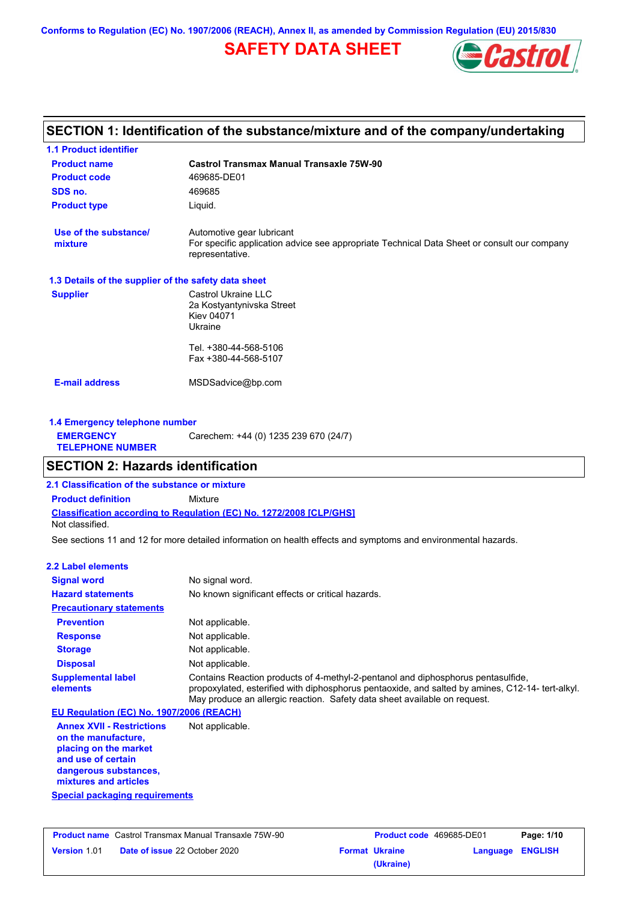**Conforms to Regulation (EC) No. 1907/2006 (REACH), Annex II, as amended by Commission Regulation (EU) 2015/830**

# **SAFETY DATA SHEET**



# **SECTION 1: Identification of the substance/mixture and of the company/undertaking**

| <b>1.1 Product identifier</b>                        |                                                                                                                                             |
|------------------------------------------------------|---------------------------------------------------------------------------------------------------------------------------------------------|
| <b>Product name</b>                                  | <b>Castrol Transmax Manual Transaxle 75W-90</b>                                                                                             |
| <b>Product code</b>                                  | 469685-DE01                                                                                                                                 |
| SDS no.                                              | 469685                                                                                                                                      |
| <b>Product type</b>                                  | Liquid.                                                                                                                                     |
| Use of the substance/<br>mixture                     | Automotive gear lubricant<br>For specific application advice see appropriate Technical Data Sheet or consult our company<br>representative. |
| 1.3 Details of the supplier of the safety data sheet |                                                                                                                                             |
| <b>Supplier</b>                                      | Castrol Ukraine LLC<br>2a Kostyantynivska Street<br><b>Kiev 04071</b><br>Ukraine                                                            |
|                                                      | Tel. +380-44-568-5106<br>Fax +380-44-568-5107                                                                                               |
| <b>E-mail address</b>                                | MSDSadvice@bp.com                                                                                                                           |
| 1.4 Emergency telephone number                       |                                                                                                                                             |
| <b>EMERGENCY</b><br><b>TELEPHONE NUMBER</b>          | Carechem: +44 (0) 1235 239 670 (24/7)                                                                                                       |
| <b>SECTION 2: Hazards identification</b>             |                                                                                                                                             |
| 2.1 Classification of the substance or mixture       |                                                                                                                                             |

**Product definition** Mixture

**Classification according to Regulation (EC) No. 1272/2008 [CLP/GHS]**

Not classified.

See sections 11 and 12 for more detailed information on health effects and symptoms and environmental hazards.

### **2.2 Label elements**

| <b>Signal word</b>                                                                                                                                       | No signal word.                                                                                                                                                                                                                                                  |
|----------------------------------------------------------------------------------------------------------------------------------------------------------|------------------------------------------------------------------------------------------------------------------------------------------------------------------------------------------------------------------------------------------------------------------|
| <b>Hazard statements</b>                                                                                                                                 | No known significant effects or critical hazards.                                                                                                                                                                                                                |
| <b>Precautionary statements</b>                                                                                                                          |                                                                                                                                                                                                                                                                  |
| <b>Prevention</b>                                                                                                                                        | Not applicable.                                                                                                                                                                                                                                                  |
| <b>Response</b>                                                                                                                                          | Not applicable.                                                                                                                                                                                                                                                  |
| <b>Storage</b>                                                                                                                                           | Not applicable.                                                                                                                                                                                                                                                  |
| <b>Disposal</b>                                                                                                                                          | Not applicable.                                                                                                                                                                                                                                                  |
| <b>Supplemental label</b><br>elements                                                                                                                    | Contains Reaction products of 4-methyl-2-pentanol and diphosphorus pentasulfide,<br>propoxylated, esterified with diphosphorus pentaoxide, and salted by amines, C12-14-tert-alkyl.<br>May produce an allergic reaction. Safety data sheet available on request. |
| EU Regulation (EC) No. 1907/2006 (REACH)                                                                                                                 |                                                                                                                                                                                                                                                                  |
| <b>Annex XVII - Restrictions</b><br>on the manufacture,<br>placing on the market<br>and use of certain<br>dangerous substances.<br>mixtures and articles | Not applicable.                                                                                                                                                                                                                                                  |

**Special packaging requirements**

| <b>Product name</b> Castrol Transmax Manual Transaxle 75W-90 |                                      | <b>Product code</b> 469685-DE01 |                       | Page: 1/10       |  |
|--------------------------------------------------------------|--------------------------------------|---------------------------------|-----------------------|------------------|--|
| <b>Version 1.01</b>                                          | <b>Date of issue 22 October 2020</b> |                                 | <b>Format Ukraine</b> | Language ENGLISH |  |
|                                                              |                                      |                                 | (Ukraine)             |                  |  |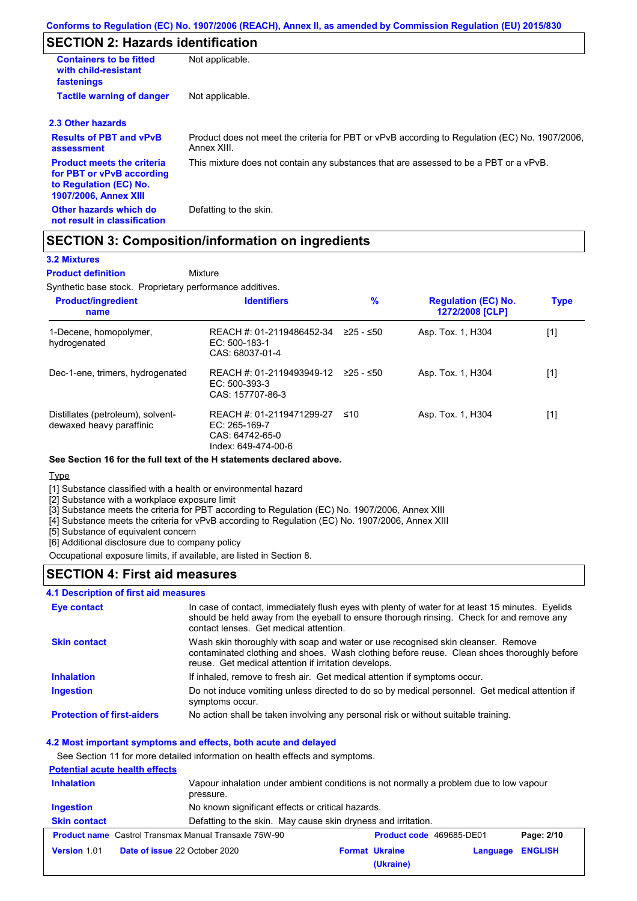## **SECTION 2: Hazards identification**

| <b>Containers to be fitted</b><br>with child-resistant<br>fastenings                                                     | Not applicable.                                                                                               |
|--------------------------------------------------------------------------------------------------------------------------|---------------------------------------------------------------------------------------------------------------|
| <b>Tactile warning of danger</b>                                                                                         | Not applicable.                                                                                               |
| 2.3 Other hazards                                                                                                        |                                                                                                               |
| <b>Results of PBT and vPvB</b><br>assessment                                                                             | Product does not meet the criteria for PBT or vPvB according to Regulation (EC) No. 1907/2006,<br>Annex XIII. |
| <b>Product meets the criteria</b><br>for PBT or vPvB according<br>to Regulation (EC) No.<br><b>1907/2006, Annex XIII</b> | This mixture does not contain any substances that are assessed to be a PBT or a vPvB.                         |
| Other hazards which do<br>not result in classification                                                                   | Defatting to the skin.                                                                                        |

### **SECTION 3: Composition/information on ingredients**

Mixture

### **3.2 Mixtures**

### **Product definition**

Synthetic base stock. Proprietary performance additives.

| <b>Product/ingredient</b><br>name                             | <b>Identifiers</b>                                                                     | $\%$      | <b>Regulation (EC) No.</b><br>1272/2008 [CLP] | <b>Type</b> |
|---------------------------------------------------------------|----------------------------------------------------------------------------------------|-----------|-----------------------------------------------|-------------|
| 1-Decene, homopolymer,<br>hydrogenated                        | REACH #: 01-2119486452-34<br>EC: 500-183-1<br>CAS: 68037-01-4                          | ≥25 - ≤50 | Asp. Tox. 1, H304                             | [1]         |
| Dec-1-ene, trimers, hydrogenated                              | REACH #: 01-2119493949-12 ≥25 - ≤50<br>EC: 500-393-3<br>CAS: 157707-86-3               |           | Asp. Tox. 1, H304                             | [1]         |
| Distillates (petroleum), solvent-<br>dewaxed heavy paraffinic | REACH #: 01-2119471299-27<br>$EC: 265-169-7$<br>CAS: 64742-65-0<br>Index: 649-474-00-6 | ≤10       | Asp. Tox. 1, H304                             | [1]         |

### **See Section 16 for the full text of the H statements declared above.**

### Type

[1] Substance classified with a health or environmental hazard

[2] Substance with a workplace exposure limit

[3] Substance meets the criteria for PBT according to Regulation (EC) No. 1907/2006, Annex XIII

[4] Substance meets the criteria for vPvB according to Regulation (EC) No. 1907/2006, Annex XIII

[5] Substance of equivalent concern

[6] Additional disclosure due to company policy

Occupational exposure limits, if available, are listed in Section 8.

## **SECTION 4: First aid measures**

### **4.1 Description of first aid measures**

| Eye contact                       | In case of contact, immediately flush eyes with plenty of water for at least 15 minutes. Eyelids<br>should be held away from the eyeball to ensure thorough rinsing. Check for and remove any<br>contact lenses. Get medical attention. |
|-----------------------------------|-----------------------------------------------------------------------------------------------------------------------------------------------------------------------------------------------------------------------------------------|
| <b>Skin contact</b>               | Wash skin thoroughly with soap and water or use recognised skin cleanser. Remove<br>contaminated clothing and shoes. Wash clothing before reuse. Clean shoes thoroughly before<br>reuse. Get medical attention if irritation develops.  |
| <b>Inhalation</b>                 | If inhaled, remove to fresh air. Get medical attention if symptoms occur.                                                                                                                                                               |
| <b>Ingestion</b>                  | Do not induce vomiting unless directed to do so by medical personnel. Get medical attention if<br>symptoms occur.                                                                                                                       |
| <b>Protection of first-aiders</b> | No action shall be taken involving any personal risk or without suitable training.                                                                                                                                                      |

### **4.2 Most important symptoms and effects, both acute and delayed**

See Section 11 for more detailed information on health effects and symptoms.

### **Potential acute health effects Inhalation** Vapour inhalation under ambient conditions is not normally a problem due to low vapour pressure. **Ingestion** No known significant effects or critical hazards. **Skin contact** Defatting to the skin. May cause skin dryness and irritation. **Product name** Castrol Transmax Manual Transaxle 75W-90 **Product code** 469685-DE01 **Page: 2/10 Version** 1.01 **Date of issue** 22 October 2020 **Format Ukraine Language ENGLISH (Ukraine)**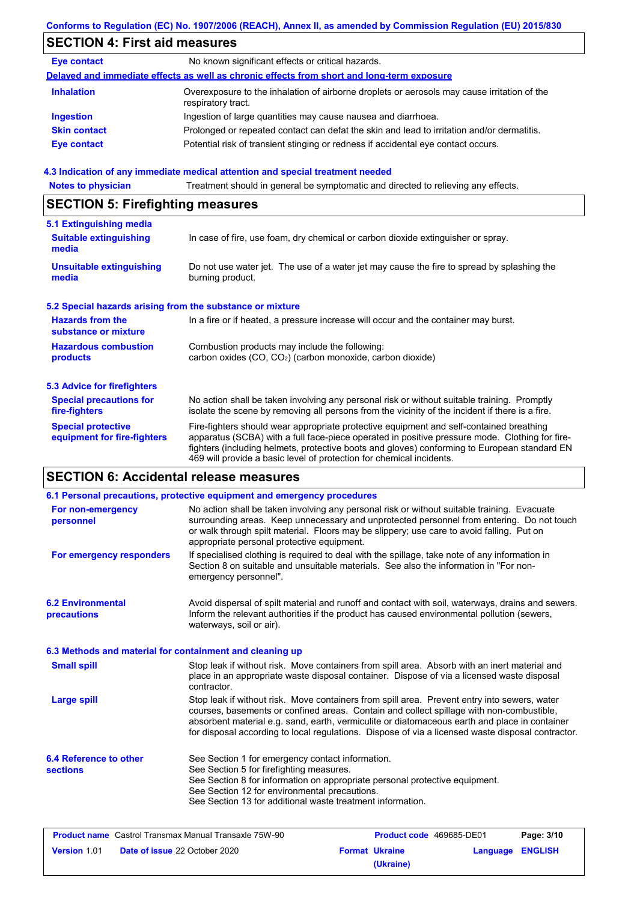# **SECTION 4: First aid measures**

| <b>Eye contact</b>  | No known significant effects or critical hazards.                                                                 |
|---------------------|-------------------------------------------------------------------------------------------------------------------|
|                     | Delayed and immediate effects as well as chronic effects from short and long-term exposure                        |
| <b>Inhalation</b>   | Overexposure to the inhalation of airborne droplets or aerosols may cause irritation of the<br>respiratory tract. |
| <b>Ingestion</b>    | Ingestion of large quantities may cause nausea and diarrhoea.                                                     |
| <b>Skin contact</b> | Prolonged or repeated contact can defat the skin and lead to irritation and/or dermatitis.                        |
| Eye contact         | Potential risk of transient stinging or redness if accidental eye contact occurs.                                 |

### **4.3 Indication of any immediate medical attention and special treatment needed**

**Notes to physician** Treatment should in general be symptomatic and directed to relieving any effects.

## **SECTION 5: Firefighting measures**

| 5.1 Extinguishing media                                   |                                                                                                                                                                                                                                                                                                                                                                   |
|-----------------------------------------------------------|-------------------------------------------------------------------------------------------------------------------------------------------------------------------------------------------------------------------------------------------------------------------------------------------------------------------------------------------------------------------|
| <b>Suitable extinguishing</b><br>media                    | In case of fire, use foam, dry chemical or carbon dioxide extinguisher or spray.                                                                                                                                                                                                                                                                                  |
| <b>Unsuitable extinguishing</b><br>media                  | Do not use water jet. The use of a water jet may cause the fire to spread by splashing the<br>burning product.                                                                                                                                                                                                                                                    |
| 5.2 Special hazards arising from the substance or mixture |                                                                                                                                                                                                                                                                                                                                                                   |
| <b>Hazards from the</b><br>substance or mixture           | In a fire or if heated, a pressure increase will occur and the container may burst.                                                                                                                                                                                                                                                                               |
| <b>Hazardous combustion</b><br>products                   | Combustion products may include the following:<br>carbon oxides (CO, CO <sub>2</sub> ) (carbon monoxide, carbon dioxide)                                                                                                                                                                                                                                          |
| <b>5.3 Advice for firefighters</b>                        |                                                                                                                                                                                                                                                                                                                                                                   |
| <b>Special precautions for</b><br>fire-fighters           | No action shall be taken involving any personal risk or without suitable training. Promptly<br>isolate the scene by removing all persons from the vicinity of the incident if there is a fire.                                                                                                                                                                    |
| <b>Special protective</b><br>equipment for fire-fighters  | Fire-fighters should wear appropriate protective equipment and self-contained breathing<br>apparatus (SCBA) with a full face-piece operated in positive pressure mode. Clothing for fire-<br>fighters (including helmets, protective boots and gloves) conforming to European standard EN<br>469 will provide a basic level of protection for chemical incidents. |

## **SECTION 6: Accidental release measures**

| 6.1 Personal precautions, protective equipment and emergency procedures |                                                                                                                                                                                                                                                                                                                                                                                                |                       |                          |                  |            |
|-------------------------------------------------------------------------|------------------------------------------------------------------------------------------------------------------------------------------------------------------------------------------------------------------------------------------------------------------------------------------------------------------------------------------------------------------------------------------------|-----------------------|--------------------------|------------------|------------|
| For non-emergency<br>personnel                                          | No action shall be taken involving any personal risk or without suitable training. Evacuate<br>surrounding areas. Keep unnecessary and unprotected personnel from entering. Do not touch<br>or walk through spilt material. Floors may be slippery; use care to avoid falling. Put on<br>appropriate personal protective equipment.                                                            |                       |                          |                  |            |
| For emergency responders                                                | If specialised clothing is required to deal with the spillage, take note of any information in<br>Section 8 on suitable and unsuitable materials. See also the information in "For non-<br>emergency personnel".                                                                                                                                                                               |                       |                          |                  |            |
| <b>6.2 Environmental</b><br>precautions                                 | Avoid dispersal of spilt material and runoff and contact with soil, waterways, drains and sewers.<br>Inform the relevant authorities if the product has caused environmental pollution (sewers,<br>waterways, soil or air).                                                                                                                                                                    |                       |                          |                  |            |
| 6.3 Methods and material for containment and cleaning up                |                                                                                                                                                                                                                                                                                                                                                                                                |                       |                          |                  |            |
| <b>Small spill</b>                                                      | Stop leak if without risk. Move containers from spill area. Absorb with an inert material and<br>place in an appropriate waste disposal container. Dispose of via a licensed waste disposal<br>contractor.                                                                                                                                                                                     |                       |                          |                  |            |
| <b>Large spill</b>                                                      | Stop leak if without risk. Move containers from spill area. Prevent entry into sewers, water<br>courses, basements or confined areas. Contain and collect spillage with non-combustible,<br>absorbent material e.g. sand, earth, vermiculite or diatomaceous earth and place in container<br>for disposal according to local regulations. Dispose of via a licensed waste disposal contractor. |                       |                          |                  |            |
| 6.4 Reference to other<br><b>sections</b>                               | See Section 1 for emergency contact information.<br>See Section 5 for firefighting measures.<br>See Section 8 for information on appropriate personal protective equipment.<br>See Section 12 for environmental precautions.<br>See Section 13 for additional waste treatment information.                                                                                                     |                       |                          |                  |            |
| <b>Product name</b> Castrol Transmax Manual Transaxle 75W-90            |                                                                                                                                                                                                                                                                                                                                                                                                |                       | Product code 469685-DE01 |                  | Page: 3/10 |
| <b>Version 1.01</b>                                                     | Date of issue 22 October 2020                                                                                                                                                                                                                                                                                                                                                                  | <b>Format Ukraine</b> |                          | Language ENGLISH |            |

**(Ukraine)**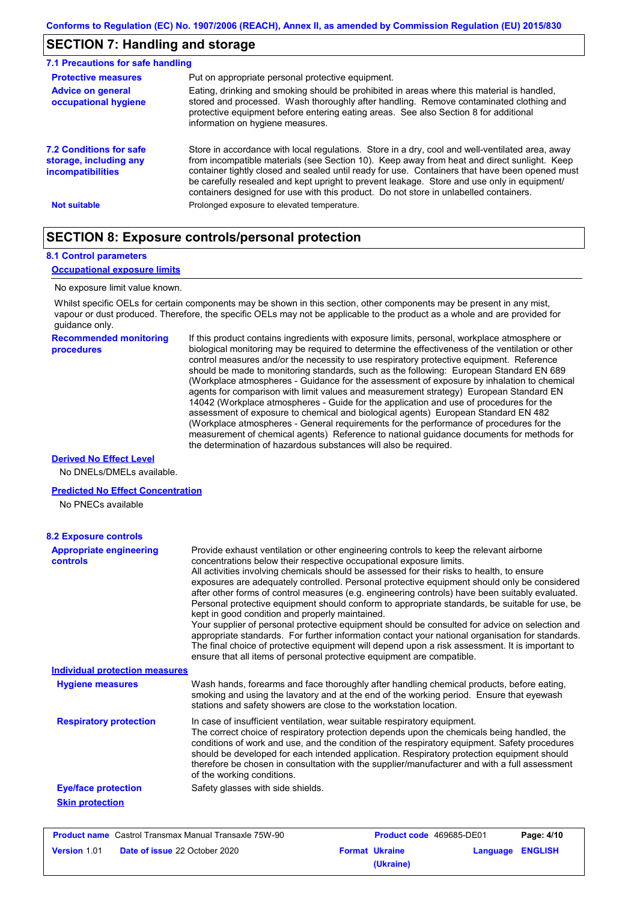## **SECTION 7: Handling and storage**

| 7.1 Precautions for safe handling                                             |                                                                                                                                                                                                                                                                                                                                                                                                                                                                                          |
|-------------------------------------------------------------------------------|------------------------------------------------------------------------------------------------------------------------------------------------------------------------------------------------------------------------------------------------------------------------------------------------------------------------------------------------------------------------------------------------------------------------------------------------------------------------------------------|
| <b>Protective measures</b>                                                    | Put on appropriate personal protective equipment.                                                                                                                                                                                                                                                                                                                                                                                                                                        |
| <b>Advice on general</b><br>occupational hygiene                              | Eating, drinking and smoking should be prohibited in areas where this material is handled.<br>stored and processed. Wash thoroughly after handling. Remove contaminated clothing and<br>protective equipment before entering eating areas. See also Section 8 for additional<br>information on hygiene measures.                                                                                                                                                                         |
| 7.2 Conditions for safe<br>storage, including any<br><i>incompatibilities</i> | Store in accordance with local regulations. Store in a dry, cool and well-ventilated area, away<br>from incompatible materials (see Section 10). Keep away from heat and direct sunlight. Keep<br>container tightly closed and sealed until ready for use. Containers that have been opened must<br>be carefully resealed and kept upright to prevent leakage. Store and use only in equipment/<br>containers designed for use with this product. Do not store in unlabelled containers. |
| <b>Not suitable</b>                                                           | Prolonged exposure to elevated temperature.                                                                                                                                                                                                                                                                                                                                                                                                                                              |

## **SECTION 8: Exposure controls/personal protection**

### **8.1 Control parameters**

### **Occupational exposure limits**

### No exposure limit value known.

Whilst specific OELs for certain components may be shown in this section, other components may be present in any mist, vapour or dust produced. Therefore, the specific OELs may not be applicable to the product as a whole and are provided for guidance only.

| <b>Recommended monitoring</b> |  |
|-------------------------------|--|
| procedures                    |  |

If this product contains ingredients with exposure limits, personal, workplace atmosphere or biological monitoring may be required to determine the effectiveness of the ventilation or other control measures and/or the necessity to use respiratory protective equipment. Reference should be made to monitoring standards, such as the following: European Standard EN 689 (Workplace atmospheres - Guidance for the assessment of exposure by inhalation to chemical agents for comparison with limit values and measurement strategy) European Standard EN 14042 (Workplace atmospheres - Guide for the application and use of procedures for the assessment of exposure to chemical and biological agents) European Standard EN 482 (Workplace atmospheres - General requirements for the performance of procedures for the measurement of chemical agents) Reference to national guidance documents for methods for the determination of hazardous substances will also be required.

### **Derived No Effect Level**

No DNELs/DMELs available.

### **Predicted No Effect Concentration**

No PNECs available

| <b>8.2 Exposure controls</b>               |                                                                                                                                                                                                                                                                                                                                                                                                                                                                                                                                                                                                                                                                                                                                                                                                                                                                                                                                                                                                         |
|--------------------------------------------|---------------------------------------------------------------------------------------------------------------------------------------------------------------------------------------------------------------------------------------------------------------------------------------------------------------------------------------------------------------------------------------------------------------------------------------------------------------------------------------------------------------------------------------------------------------------------------------------------------------------------------------------------------------------------------------------------------------------------------------------------------------------------------------------------------------------------------------------------------------------------------------------------------------------------------------------------------------------------------------------------------|
| <b>Appropriate engineering</b><br>controls | Provide exhaust ventilation or other engineering controls to keep the relevant airborne<br>concentrations below their respective occupational exposure limits.<br>All activities involving chemicals should be assessed for their risks to health, to ensure<br>exposures are adequately controlled. Personal protective equipment should only be considered<br>after other forms of control measures (e.g. engineering controls) have been suitably evaluated.<br>Personal protective equipment should conform to appropriate standards, be suitable for use, be<br>kept in good condition and properly maintained.<br>Your supplier of personal protective equipment should be consulted for advice on selection and<br>appropriate standards. For further information contact your national organisation for standards.<br>The final choice of protective equipment will depend upon a risk assessment. It is important to<br>ensure that all items of personal protective equipment are compatible. |
| <b>Individual protection measures</b>      |                                                                                                                                                                                                                                                                                                                                                                                                                                                                                                                                                                                                                                                                                                                                                                                                                                                                                                                                                                                                         |
| <b>Hygiene measures</b>                    | Wash hands, forearms and face thoroughly after handling chemical products, before eating,<br>smoking and using the lavatory and at the end of the working period. Ensure that eyewash<br>stations and safety showers are close to the workstation location.                                                                                                                                                                                                                                                                                                                                                                                                                                                                                                                                                                                                                                                                                                                                             |
| <b>Respiratory protection</b>              | In case of insufficient ventilation, wear suitable respiratory equipment.<br>The correct choice of respiratory protection depends upon the chemicals being handled, the<br>conditions of work and use, and the condition of the respiratory equipment. Safety procedures<br>should be developed for each intended application. Respiratory protection equipment should<br>therefore be chosen in consultation with the supplier/manufacturer and with a full assessment<br>of the working conditions.                                                                                                                                                                                                                                                                                                                                                                                                                                                                                                   |
| <b>Eye/face protection</b>                 | Safety glasses with side shields.                                                                                                                                                                                                                                                                                                                                                                                                                                                                                                                                                                                                                                                                                                                                                                                                                                                                                                                                                                       |
| <b>Skin protection</b>                     |                                                                                                                                                                                                                                                                                                                                                                                                                                                                                                                                                                                                                                                                                                                                                                                                                                                                                                                                                                                                         |

| <b>Product name</b> Castrol Transmax Manual Transaxle 75W-90 |                                      | <b>Product code</b> 469685-DE01 |                       | Page: 4/10       |  |
|--------------------------------------------------------------|--------------------------------------|---------------------------------|-----------------------|------------------|--|
| <b>Version 1.01</b>                                          | <b>Date of issue 22 October 2020</b> |                                 | <b>Format Ukraine</b> | Language ENGLISH |  |
|                                                              |                                      |                                 | (Ukraine)             |                  |  |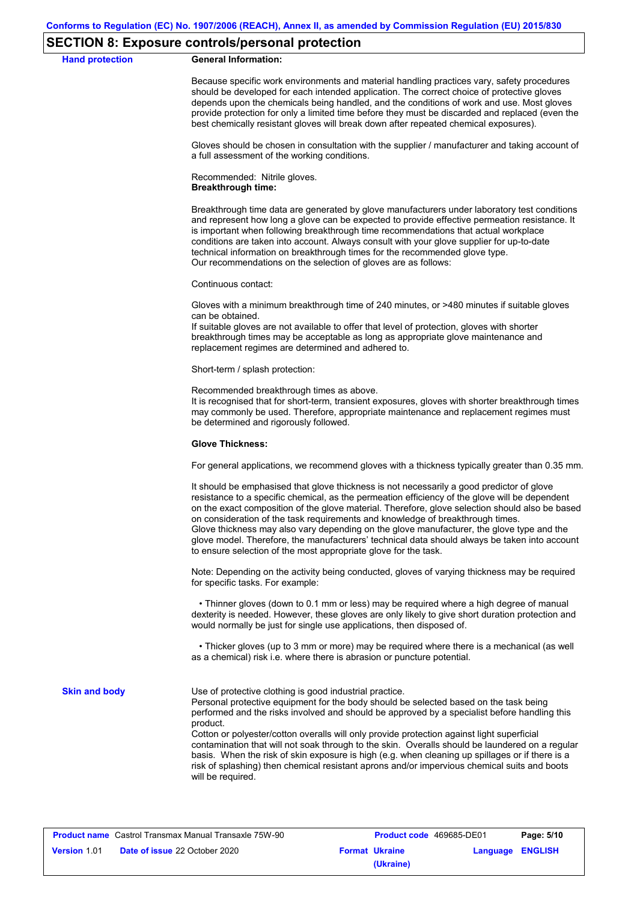### **SECTION 8: Exposure controls/personal protection**

**Hand protection** 

|  | <b>General Information:</b> |
|--|-----------------------------|
|--|-----------------------------|

Because specific work environments and material handling practices vary, safety procedures should be developed for each intended application. The correct choice of protective gloves depends upon the chemicals being handled, and the conditions of work and use. Most gloves provide protection for only a limited time before they must be discarded and replaced (even the best chemically resistant gloves will break down after repeated chemical exposures).

Gloves should be chosen in consultation with the supplier / manufacturer and taking account of a full assessment of the working conditions.

Recommended: Nitrile gloves. **Breakthrough time:**

Breakthrough time data are generated by glove manufacturers under laboratory test conditions and represent how long a glove can be expected to provide effective permeation resistance. It is important when following breakthrough time recommendations that actual workplace conditions are taken into account. Always consult with your glove supplier for up-to-date technical information on breakthrough times for the recommended glove type. Our recommendations on the selection of gloves are as follows:

Continuous contact:

Gloves with a minimum breakthrough time of 240 minutes, or >480 minutes if suitable gloves can be obtained.

If suitable gloves are not available to offer that level of protection, gloves with shorter breakthrough times may be acceptable as long as appropriate glove maintenance and replacement regimes are determined and adhered to.

Short-term / splash protection:

Recommended breakthrough times as above.

It is recognised that for short-term, transient exposures, gloves with shorter breakthrough times may commonly be used. Therefore, appropriate maintenance and replacement regimes must be determined and rigorously followed.

#### **Glove Thickness:**

For general applications, we recommend gloves with a thickness typically greater than 0.35 mm.

It should be emphasised that glove thickness is not necessarily a good predictor of glove resistance to a specific chemical, as the permeation efficiency of the glove will be dependent on the exact composition of the glove material. Therefore, glove selection should also be based on consideration of the task requirements and knowledge of breakthrough times. Glove thickness may also vary depending on the glove manufacturer, the glove type and the glove model. Therefore, the manufacturers' technical data should always be taken into account to ensure selection of the most appropriate glove for the task.

Note: Depending on the activity being conducted, gloves of varying thickness may be required for specific tasks. For example:

 • Thinner gloves (down to 0.1 mm or less) may be required where a high degree of manual dexterity is needed. However, these gloves are only likely to give short duration protection and would normally be just for single use applications, then disposed of.

 • Thicker gloves (up to 3 mm or more) may be required where there is a mechanical (as well as a chemical) risk i.e. where there is abrasion or puncture potential.

**Skin and body**

Use of protective clothing is good industrial practice.

Personal protective equipment for the body should be selected based on the task being performed and the risks involved and should be approved by a specialist before handling this product.

Cotton or polyester/cotton overalls will only provide protection against light superficial contamination that will not soak through to the skin. Overalls should be laundered on a regular basis. When the risk of skin exposure is high (e.g. when cleaning up spillages or if there is a risk of splashing) then chemical resistant aprons and/or impervious chemical suits and boots will be required.

| <b>Product name</b> Castrol Transmax Manual Transaxle 75W-90 |                                                                                   | <b>Product code</b> 469685-DE01 |           | Page: 5/10 |  |
|--------------------------------------------------------------|-----------------------------------------------------------------------------------|---------------------------------|-----------|------------|--|
| <b>Version 1.01</b>                                          | <b>Date of issue 22 October 2020</b><br>Language ENGLISH<br><b>Format Ukraine</b> |                                 |           |            |  |
|                                                              |                                                                                   |                                 | (Ukraine) |            |  |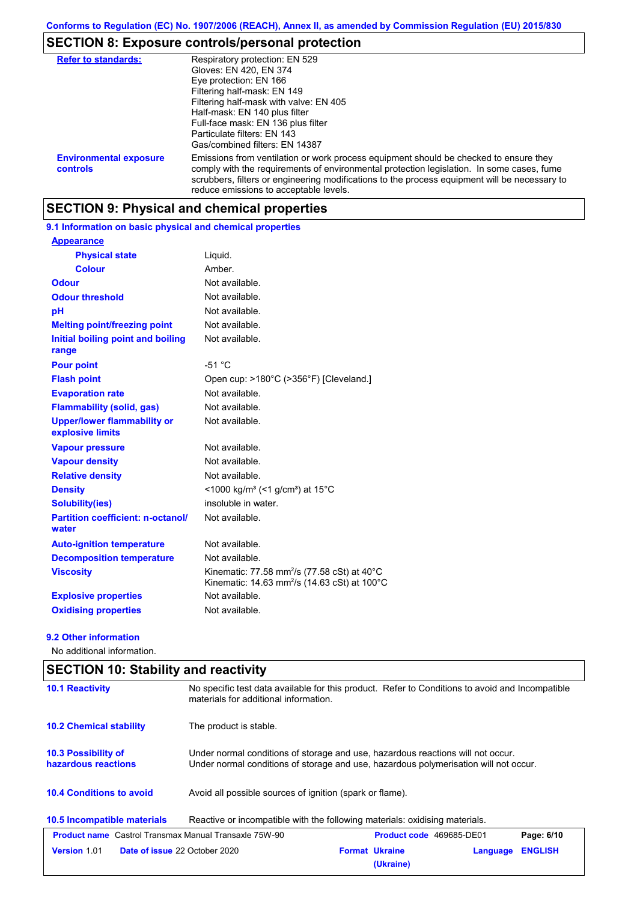# **SECTION 8: Exposure controls/personal protection**

| <b>Refer to standards:</b>                | Respiratory protection: EN 529<br>Gloves: EN 420, EN 374<br>Eye protection: EN 166<br>Filtering half-mask: EN 149<br>Filtering half-mask with valve: EN 405<br>Half-mask: EN 140 plus filter<br>Full-face mask: EN 136 plus filter<br>Particulate filters: EN 143<br>Gas/combined filters: EN 14387                           |
|-------------------------------------------|-------------------------------------------------------------------------------------------------------------------------------------------------------------------------------------------------------------------------------------------------------------------------------------------------------------------------------|
| <b>Environmental exposure</b><br>controls | Emissions from ventilation or work process equipment should be checked to ensure they<br>comply with the requirements of environmental protection legislation. In some cases, fume<br>scrubbers, filters or engineering modifications to the process equipment will be necessary to<br>reduce emissions to acceptable levels. |

## **SECTION 9: Physical and chemical properties**

## **9.1 Information on basic physical and chemical properties**

| <b>Appearance</b>                                      |                                                                                                                     |
|--------------------------------------------------------|---------------------------------------------------------------------------------------------------------------------|
| <b>Physical state</b>                                  | Liguid.                                                                                                             |
| <b>Colour</b>                                          | Amber.                                                                                                              |
| <b>Odour</b>                                           | Not available.                                                                                                      |
| <b>Odour threshold</b>                                 | Not available.                                                                                                      |
| рH                                                     | Not available.                                                                                                      |
| <b>Melting point/freezing point</b>                    | Not available.                                                                                                      |
| Initial boiling point and boiling<br>range             | Not available.                                                                                                      |
| <b>Pour point</b>                                      | $-51 °C$                                                                                                            |
| <b>Flash point</b>                                     | Open cup: >180°C (>356°F) [Cleveland.]                                                                              |
| <b>Evaporation rate</b>                                | Not available.                                                                                                      |
| <b>Flammability (solid, gas)</b>                       | Not available.                                                                                                      |
| <b>Upper/lower flammability or</b><br>explosive limits | Not available.                                                                                                      |
| <b>Vapour pressure</b>                                 | Not available.                                                                                                      |
| <b>Vapour density</b>                                  | Not available.                                                                                                      |
| <b>Relative density</b>                                | Not available.                                                                                                      |
| <b>Density</b>                                         | <1000 kg/m <sup>3</sup> (<1 g/cm <sup>3</sup> ) at 15 <sup>°</sup> C                                                |
| Solubility(ies)                                        | insoluble in water.                                                                                                 |
| <b>Partition coefficient: n-octanol/</b><br>water      | Not available.                                                                                                      |
| <b>Auto-ignition temperature</b>                       | Not available.                                                                                                      |
| <b>Decomposition temperature</b>                       | Not available.                                                                                                      |
| <b>Viscosity</b>                                       | Kinematic: 77.58 mm <sup>2</sup> /s (77.58 cSt) at 40°C<br>Kinematic: 14.63 mm <sup>2</sup> /s (14.63 cSt) at 100°C |
| <b>Explosive properties</b>                            | Not available.                                                                                                      |
| <b>Oxidising properties</b>                            | Not available.                                                                                                      |

### **9.2 Other information**

No additional information.

| <b>10.1 Reactivity</b>                                       | No specific test data available for this product. Refer to Conditions to avoid and Incompatible<br>materials for additional information.                                |                                    |          |                |
|--------------------------------------------------------------|-------------------------------------------------------------------------------------------------------------------------------------------------------------------------|------------------------------------|----------|----------------|
| <b>10.2 Chemical stability</b>                               | The product is stable.                                                                                                                                                  |                                    |          |                |
| 10.3 Possibility of<br>hazardous reactions                   | Under normal conditions of storage and use, hazardous reactions will not occur.<br>Under normal conditions of storage and use, hazardous polymerisation will not occur. |                                    |          |                |
| <b>10.4 Conditions to avoid</b>                              | Avoid all possible sources of ignition (spark or flame).                                                                                                                |                                    |          |                |
| 10.5 Incompatible materials                                  | Reactive or incompatible with the following materials: oxidising materials.                                                                                             |                                    |          |                |
| <b>Product name</b> Castrol Transmax Manual Transaxle 75W-90 |                                                                                                                                                                         | <b>Product code</b> 469685-DE01    |          | Page: 6/10     |
| <b>Version 1.01</b>                                          | <b>Date of issue 22 October 2020</b>                                                                                                                                    | <b>Format Ukraine</b><br>(Ukraine) | Language | <b>ENGLISH</b> |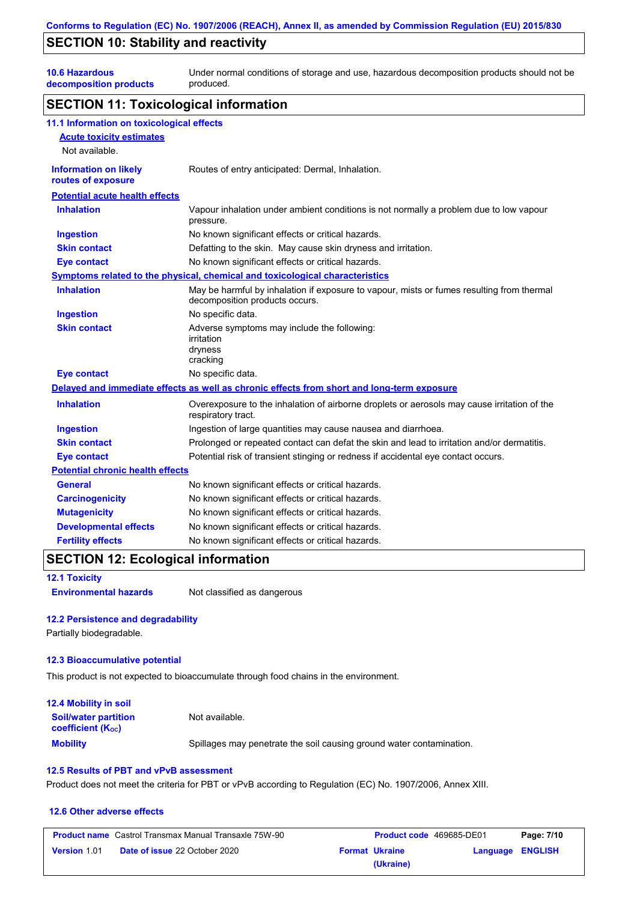## **SECTION 10: Stability and reactivity**

**10.6 Hazardous** 

**decomposition products** Under normal conditions of storage and use, hazardous decomposition products should not be produced.

### **SECTION 11: Toxicological information**

| 11.1 Information on toxicological effects          |                                                                                                                             |
|----------------------------------------------------|-----------------------------------------------------------------------------------------------------------------------------|
| <b>Acute toxicity estimates</b>                    |                                                                                                                             |
| Not available.                                     |                                                                                                                             |
| <b>Information on likely</b><br>routes of exposure | Routes of entry anticipated: Dermal, Inhalation.                                                                            |
| <b>Potential acute health effects</b>              |                                                                                                                             |
| <b>Inhalation</b>                                  | Vapour inhalation under ambient conditions is not normally a problem due to low vapour<br>pressure.                         |
| <b>Ingestion</b>                                   | No known significant effects or critical hazards.                                                                           |
| <b>Skin contact</b>                                | Defatting to the skin. May cause skin dryness and irritation.                                                               |
| <b>Eye contact</b>                                 | No known significant effects or critical hazards.                                                                           |
|                                                    | Symptoms related to the physical, chemical and toxicological characteristics                                                |
| <b>Inhalation</b>                                  | May be harmful by inhalation if exposure to vapour, mists or fumes resulting from thermal<br>decomposition products occurs. |
| <b>Ingestion</b>                                   | No specific data.                                                                                                           |
| <b>Skin contact</b>                                | Adverse symptoms may include the following:<br>irritation<br>dryness<br>cracking                                            |
| <b>Eye contact</b>                                 | No specific data.                                                                                                           |
|                                                    | Delayed and immediate effects as well as chronic effects from short and long-term exposure                                  |
| <b>Inhalation</b>                                  | Overexposure to the inhalation of airborne droplets or aerosols may cause irritation of the<br>respiratory tract.           |
| <b>Ingestion</b>                                   | Ingestion of large quantities may cause nausea and diarrhoea.                                                               |
| <b>Skin contact</b>                                | Prolonged or repeated contact can defat the skin and lead to irritation and/or dermatitis.                                  |
| <b>Eye contact</b>                                 | Potential risk of transient stinging or redness if accidental eye contact occurs.                                           |
| <b>Potential chronic health effects</b>            |                                                                                                                             |
| <b>General</b>                                     | No known significant effects or critical hazards.                                                                           |
| <b>Carcinogenicity</b>                             | No known significant effects or critical hazards.                                                                           |
| <b>Mutagenicity</b>                                | No known significant effects or critical hazards.                                                                           |
| <b>Developmental effects</b>                       | No known significant effects or critical hazards.                                                                           |
| <b>Fertility effects</b>                           | No known significant effects or critical hazards.                                                                           |

## **SECTION 12: Ecological information**

**12.1 Toxicity**

### **Environmental hazards** Not classified as dangerous

### **12.2 Persistence and degradability**

Partially biodegradable.

### **12.3 Bioaccumulative potential**

This product is not expected to bioaccumulate through food chains in the environment.

| <b>12.4 Mobility in soil</b>                                  |                                                                      |
|---------------------------------------------------------------|----------------------------------------------------------------------|
| <b>Soil/water partition</b><br>coefficient (K <sub>oc</sub> ) | Not available.                                                       |
| <b>Mobility</b>                                               | Spillages may penetrate the soil causing ground water contamination. |

### **12.5 Results of PBT and vPvB assessment**

Product does not meet the criteria for PBT or vPvB according to Regulation (EC) No. 1907/2006, Annex XIII.

### **12.6 Other adverse effects**

| <b>Product name</b> Castrol Transmax Manual Transaxle 75W-90 |                                      | <b>Product code</b> 469685-DE01 |                       | Page: 7/10       |  |
|--------------------------------------------------------------|--------------------------------------|---------------------------------|-----------------------|------------------|--|
| <b>Version 1.01</b>                                          | <b>Date of issue 22 October 2020</b> |                                 | <b>Format Ukraine</b> | Language ENGLISH |  |
|                                                              |                                      |                                 | (Ukraine)             |                  |  |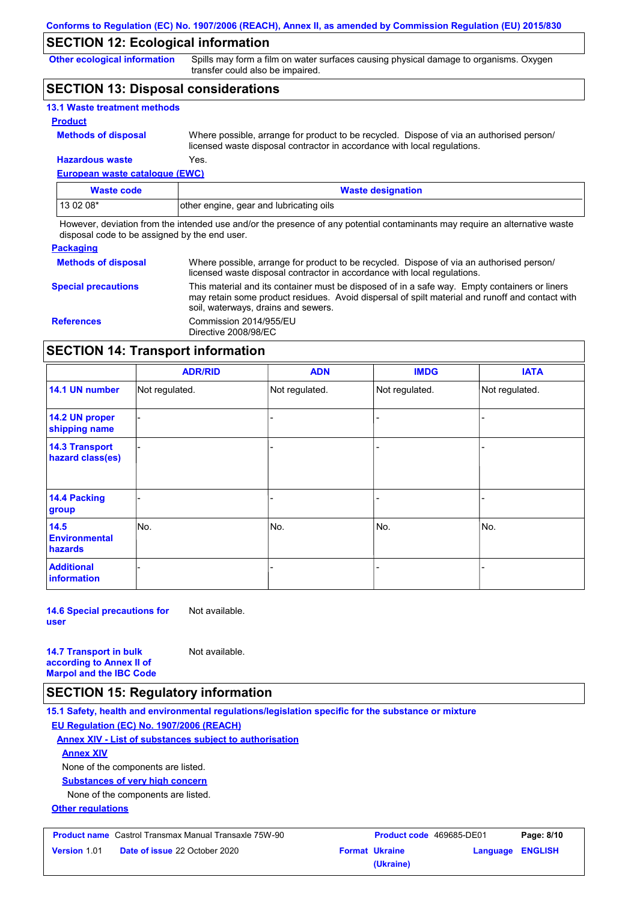## **SECTION 12: Ecological information**

**Other ecological information**

Spills may form a film on water surfaces causing physical damage to organisms. Oxygen transfer could also be impaired.

## **SECTION 13: Disposal considerations**

| <b>13.1 Waste treatment methods</b> |                                                                                                                                                                      |
|-------------------------------------|----------------------------------------------------------------------------------------------------------------------------------------------------------------------|
| <b>Product</b>                      |                                                                                                                                                                      |
| <b>Methods of disposal</b>          | Where possible, arrange for product to be recycled. Dispose of via an authorised person/<br>licensed waste disposal contractor in accordance with local regulations. |
| <b>Hazardous waste</b>              | Yes.                                                                                                                                                                 |

### **European waste catalogue (EWC)**

| Waste code  | <b>Waste designation</b>                |
|-------------|-----------------------------------------|
| l 13 02 08* | other engine, gear and lubricating oils |

However, deviation from the intended use and/or the presence of any potential contaminants may require an alternative waste disposal code to be assigned by the end user.

### **Packaging**

| <b>Methods of disposal</b> | Where possible, arrange for product to be recycled. Dispose of via an authorised person/<br>licensed waste disposal contractor in accordance with local regulations.                                                                    |
|----------------------------|-----------------------------------------------------------------------------------------------------------------------------------------------------------------------------------------------------------------------------------------|
| <b>Special precautions</b> | This material and its container must be disposed of in a safe way. Empty containers or liners<br>may retain some product residues. Avoid dispersal of spilt material and runoff and contact with<br>soil, waterways, drains and sewers. |
| <b>References</b>          | Commission 2014/955/EU<br>Directive 2008/98/EC                                                                                                                                                                                          |

## **SECTION 14: Transport information**

|                                                | <b>ADR/RID</b> | <b>ADN</b>     | <b>IMDG</b>    | <b>IATA</b>    |
|------------------------------------------------|----------------|----------------|----------------|----------------|
| 14.1 UN number                                 | Not regulated. | Not regulated. | Not regulated. | Not regulated. |
| 14.2 UN proper<br>shipping name                |                |                |                |                |
| <b>14.3 Transport</b><br>hazard class(es)      |                |                |                |                |
| <b>14.4 Packing</b><br>group                   |                |                |                |                |
| 14.5<br><b>Environmental</b><br><b>hazards</b> | No.            | No.            | No.            | No.            |
| <b>Additional</b><br>information               |                |                |                |                |

**14.6 Special precautions for user** Not available.

**14.7 Transport in bulk according to Annex II of Marpol and the IBC Code** Not available.

## **SECTION 15: Regulatory information**

**15.1 Safety, health and environmental regulations/legislation specific for the substance or mixture EU Regulation (EC) No. 1907/2006 (REACH)**

**Annex XIV - List of substances subject to authorisation Annex XIV**

None of the components are listed.

**Substances of very high concern**

None of the components are listed.

**Other regulations**

|                     | <b>Product name</b> Castrol Transmax Manual Transaxle 75W-90 | <b>Product code</b> 469685-DE01 |                         | Page: 8/10 |
|---------------------|--------------------------------------------------------------|---------------------------------|-------------------------|------------|
| <b>Version</b> 1.01 | <b>Date of issue 22 October 2020</b>                         | <b>Format Ukraine</b>           | <b>Language ENGLISH</b> |            |
|                     |                                                              | (Ukraine)                       |                         |            |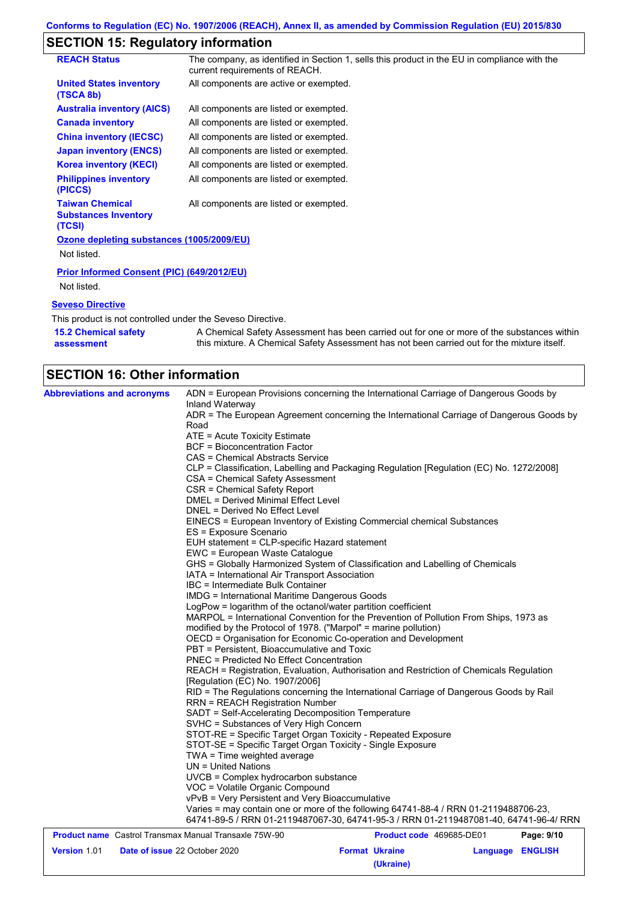## **SECTION 15: Regulatory information**

| <b>REACH Status</b>                                             | The company, as identified in Section 1, sells this product in the EU in compliance with the<br>current requirements of REACH. |
|-----------------------------------------------------------------|--------------------------------------------------------------------------------------------------------------------------------|
| <b>United States inventory</b><br>(TSCA 8b)                     | All components are active or exempted.                                                                                         |
| <b>Australia inventory (AICS)</b>                               | All components are listed or exempted.                                                                                         |
| <b>Canada inventory</b>                                         | All components are listed or exempted.                                                                                         |
| <b>China inventory (IECSC)</b>                                  | All components are listed or exempted.                                                                                         |
| <b>Japan inventory (ENCS)</b>                                   | All components are listed or exempted.                                                                                         |
| <b>Korea inventory (KECI)</b>                                   | All components are listed or exempted.                                                                                         |
| <b>Philippines inventory</b><br>(PICCS)                         | All components are listed or exempted.                                                                                         |
| <b>Taiwan Chemical</b><br><b>Substances Inventory</b><br>(TCSI) | All components are listed or exempted.                                                                                         |
| Ozone depleting substances (1005/2009/EU)                       |                                                                                                                                |
| Not listed.                                                     |                                                                                                                                |
| <b>Prior Informed Consent (PIC) (649/2012/EU)</b>               |                                                                                                                                |
| Not listed.                                                     |                                                                                                                                |
| <b>Seveso Directive</b>                                         |                                                                                                                                |
| This product is not controlled under the Seveso Directive.      |                                                                                                                                |
| <b>15.2 Chemical safety</b>                                     | A Chemical Safety Assessment has been carried out for one or more of the substances within                                     |

this mixture. A Chemical Safety Assessment has not been carried out for the mixture itself.

| <b>SECTION 16: Other information</b> |
|--------------------------------------|

**assessment**

**Version** 1.01

| <b>Abbreviations and acronyms</b>                            | ADN = European Provisions concerning the International Carriage of Dangerous Goods by<br>Inland Waterway                                                                      |                          |            |
|--------------------------------------------------------------|-------------------------------------------------------------------------------------------------------------------------------------------------------------------------------|--------------------------|------------|
|                                                              | ADR = The European Agreement concerning the International Carriage of Dangerous Goods by                                                                                      |                          |            |
|                                                              | Road                                                                                                                                                                          |                          |            |
|                                                              | $ATE = Acute Toxicity Estimate$<br><b>BCF</b> = Bioconcentration Factor                                                                                                       |                          |            |
|                                                              |                                                                                                                                                                               |                          |            |
|                                                              | CAS = Chemical Abstracts Service                                                                                                                                              |                          |            |
|                                                              | CLP = Classification, Labelling and Packaging Regulation [Regulation (EC) No. 1272/2008]<br>CSA = Chemical Safety Assessment                                                  |                          |            |
|                                                              | CSR = Chemical Safety Report                                                                                                                                                  |                          |            |
|                                                              | <b>DMEL = Derived Minimal Effect Level</b>                                                                                                                                    |                          |            |
|                                                              | DNEL = Derived No Effect Level                                                                                                                                                |                          |            |
|                                                              | EINECS = European Inventory of Existing Commercial chemical Substances                                                                                                        |                          |            |
|                                                              | ES = Exposure Scenario                                                                                                                                                        |                          |            |
|                                                              | EUH statement = CLP-specific Hazard statement                                                                                                                                 |                          |            |
|                                                              | EWC = European Waste Catalogue                                                                                                                                                |                          |            |
|                                                              | GHS = Globally Harmonized System of Classification and Labelling of Chemicals                                                                                                 |                          |            |
|                                                              | IATA = International Air Transport Association                                                                                                                                |                          |            |
|                                                              | IBC = Intermediate Bulk Container                                                                                                                                             |                          |            |
|                                                              | <b>IMDG = International Maritime Dangerous Goods</b>                                                                                                                          |                          |            |
|                                                              | LogPow = logarithm of the octanol/water partition coefficient                                                                                                                 |                          |            |
|                                                              | MARPOL = International Convention for the Prevention of Pollution From Ships, 1973 as                                                                                         |                          |            |
|                                                              | modified by the Protocol of 1978. ("Marpol" = marine pollution)                                                                                                               |                          |            |
|                                                              | OECD = Organisation for Economic Co-operation and Development                                                                                                                 |                          |            |
|                                                              | PBT = Persistent, Bioaccumulative and Toxic                                                                                                                                   |                          |            |
|                                                              | <b>PNEC = Predicted No Effect Concentration</b>                                                                                                                               |                          |            |
|                                                              | REACH = Registration, Evaluation, Authorisation and Restriction of Chemicals Regulation<br>[Regulation (EC) No. 1907/2006]                                                    |                          |            |
|                                                              | RID = The Regulations concerning the International Carriage of Dangerous Goods by Rail                                                                                        |                          |            |
|                                                              | <b>RRN = REACH Registration Number</b>                                                                                                                                        |                          |            |
|                                                              | SADT = Self-Accelerating Decomposition Temperature                                                                                                                            |                          |            |
|                                                              | SVHC = Substances of Very High Concern                                                                                                                                        |                          |            |
|                                                              | STOT-RE = Specific Target Organ Toxicity - Repeated Exposure                                                                                                                  |                          |            |
|                                                              | STOT-SE = Specific Target Organ Toxicity - Single Exposure                                                                                                                    |                          |            |
|                                                              | TWA = Time weighted average                                                                                                                                                   |                          |            |
|                                                              | $UN = United Nations$                                                                                                                                                         |                          |            |
|                                                              | UVCB = Complex hydrocarbon substance                                                                                                                                          |                          |            |
|                                                              | VOC = Volatile Organic Compound                                                                                                                                               |                          |            |
|                                                              | vPvB = Very Persistent and Very Bioaccumulative                                                                                                                               |                          |            |
|                                                              | Varies = may contain one or more of the following 64741-88-4 / RRN 01-2119488706-23,<br>64741-89-5 / RRN 01-2119487067-30, 64741-95-3 / RRN 01-2119487081-40, 64741-96-4/ RRN |                          |            |
| <b>Product name</b> Castrol Transmax Manual Transaxle 75W-90 |                                                                                                                                                                               | Product code 469685-DE01 | Page: 9/10 |

**Date of issue** 22 October 2020 **Format Ukraine Language ENGLISH**

**(Ukraine)**